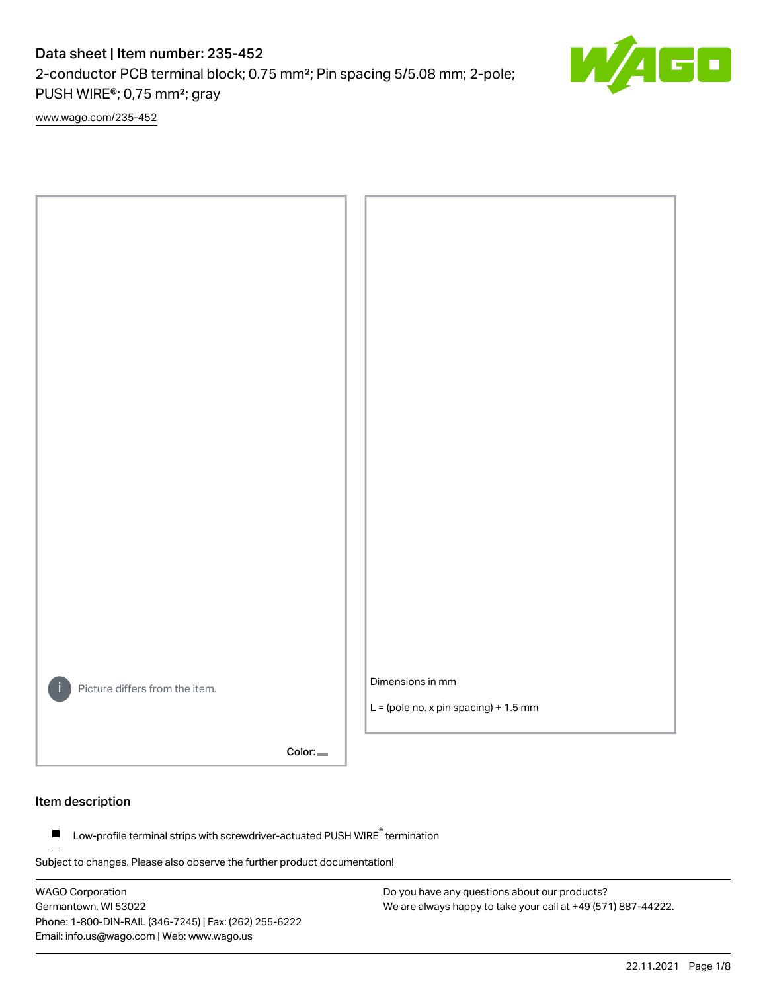# Data sheet | Item number: 235-452

2-conductor PCB terminal block; 0.75 mm²; Pin spacing 5/5.08 mm; 2-pole; PUSH WIRE®; 0,75 mm²; gray

[www.wago.com/235-452](http://www.wago.com/235-452)



Color:

## Item description

Low-profile terminal strips with screwdriver-actuated PUSH WIRE® termination  $\blacksquare$ 

Subject to changes. Please also observe the further product documentation!

WAGO Corporation Germantown, WI 53022 Phone: 1-800-DIN-RAIL (346-7245) | Fax: (262) 255-6222 Email: info.us@wago.com | Web: www.wago.us

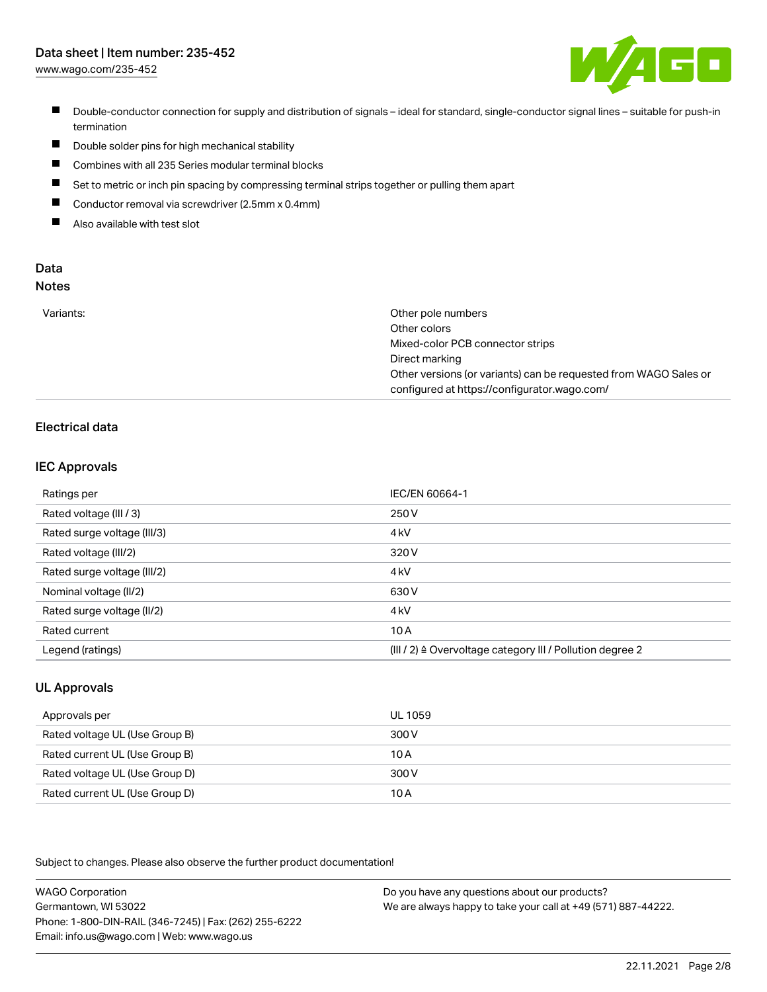# Data sheet | Item number: 235-452

[www.wago.com/235-452](http://www.wago.com/235-452)



- Double-conductor connection for supply and distribution of signals ideal for standard, single-conductor signal lines suitable for push-in termination
- $\blacksquare$ Double solder pins for high mechanical stability
- $\blacksquare$ Combines with all 235 Series modular terminal blocks
- $\blacksquare$ Set to metric or inch pin spacing by compressing terminal strips together or pulling them apart
- $\blacksquare$ Conductor removal via screwdriver (2.5mm x 0.4mm)
- $\blacksquare$ Also available with test slot

#### Data Notes

|  | . . | . .<br>÷<br>۰. | I<br>×<br>۰. |  |
|--|-----|----------------|--------------|--|
|  |     |                |              |  |
|  |     |                |              |  |

| Other pole numbers                                               |
|------------------------------------------------------------------|
| Other colors                                                     |
| Mixed-color PCB connector strips                                 |
| Direct marking                                                   |
| Other versions (or variants) can be requested from WAGO Sales or |
| configured at https://configurator.wago.com/                     |
|                                                                  |

# Electrical data

## IEC Approvals

| Ratings per                 | IEC/EN 60664-1                                                        |
|-----------------------------|-----------------------------------------------------------------------|
| Rated voltage (III / 3)     | 250 V                                                                 |
| Rated surge voltage (III/3) | 4 <sub>k</sub> V                                                      |
| Rated voltage (III/2)       | 320 V                                                                 |
| Rated surge voltage (III/2) | 4 <sub>k</sub> V                                                      |
| Nominal voltage (II/2)      | 630 V                                                                 |
| Rated surge voltage (II/2)  | 4 <sub>k</sub> V                                                      |
| Rated current               | 10A                                                                   |
| Legend (ratings)            | $(III / 2)$ $\triangle$ Overvoltage category III / Pollution degree 2 |

# UL Approvals

| Approvals per                  | UL 1059 |
|--------------------------------|---------|
| Rated voltage UL (Use Group B) | 300 V   |
| Rated current UL (Use Group B) | 10 A    |
| Rated voltage UL (Use Group D) | 300 V   |
| Rated current UL (Use Group D) | 10A     |

Subject to changes. Please also observe the further product documentation!

| <b>WAGO Corporation</b>                                | Do you have any questions about our products?                 |
|--------------------------------------------------------|---------------------------------------------------------------|
| Germantown, WI 53022                                   | We are always happy to take your call at +49 (571) 887-44222. |
| Phone: 1-800-DIN-RAIL (346-7245)   Fax: (262) 255-6222 |                                                               |
| Email: info.us@wago.com   Web: www.wago.us             |                                                               |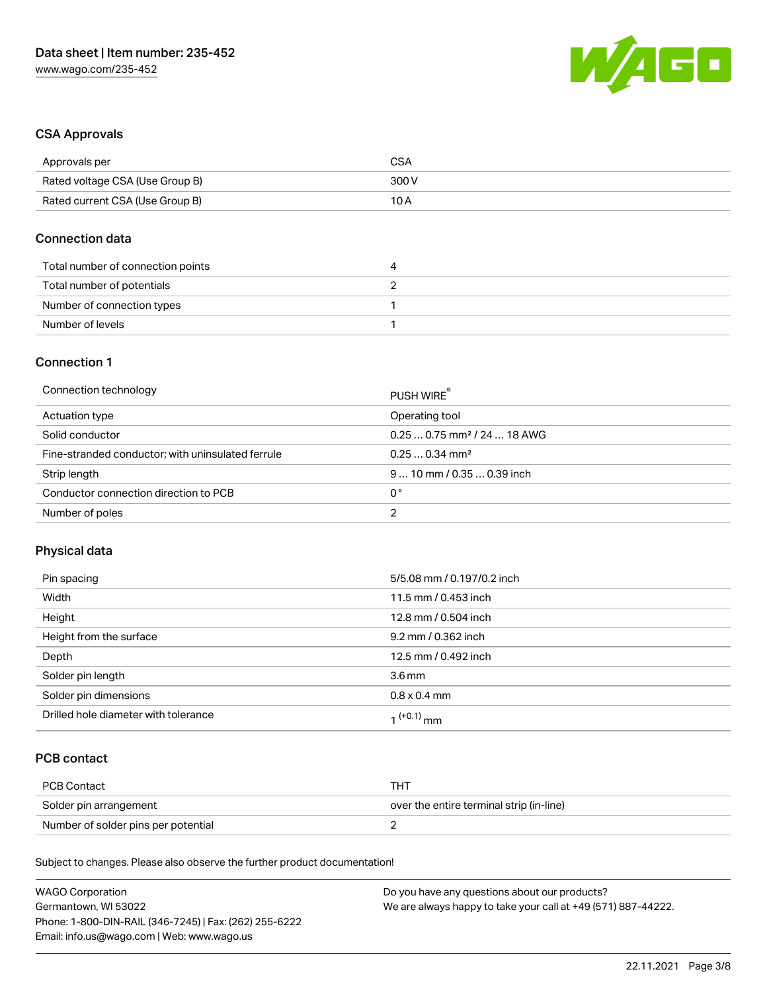

## CSA Approvals

| Approvals per                   | CSA   |
|---------------------------------|-------|
| Rated voltage CSA (Use Group B) | 300 V |
| Rated current CSA (Use Group B) | 10 A  |

## Connection data

| Total number of connection points | 4 |
|-----------------------------------|---|
| Total number of potentials        |   |
| Number of connection types        |   |
| Number of levels                  |   |

# Connection 1

| Connection technology                             | PUSH WIRE                               |
|---------------------------------------------------|-----------------------------------------|
| Actuation type                                    | Operating tool                          |
| Solid conductor                                   | $0.250.75$ mm <sup>2</sup> / 24  18 AWG |
| Fine-stranded conductor; with uninsulated ferrule | $0.250.34$ mm <sup>2</sup>              |
| Strip length                                      | $910$ mm / 0.35  0.39 inch              |
| Conductor connection direction to PCB             | 0°                                      |
| Number of poles                                   | ◠                                       |

# Physical data

| Pin spacing                          | 5/5.08 mm / 0.197/0.2 inch |
|--------------------------------------|----------------------------|
| Width                                | 11.5 mm / 0.453 inch       |
| Height                               | 12.8 mm / 0.504 inch       |
| Height from the surface              | 9.2 mm / 0.362 inch        |
| Depth                                | 12.5 mm / 0.492 inch       |
| Solder pin length                    | 3.6 <sub>mm</sub>          |
| Solder pin dimensions                | $0.8 \times 0.4$ mm        |
| Drilled hole diameter with tolerance | 1 <sup>(+0.1)</sup> mm     |

# PCB contact

| PCB Contact                         | тнт                                      |
|-------------------------------------|------------------------------------------|
| Solder pin arrangement              | over the entire terminal strip (in-line) |
| Number of solder pins per potential |                                          |

Subject to changes. Please also observe the further product documentation!

| <b>WAGO Corporation</b>                                | Do you have any questions about our products?                 |
|--------------------------------------------------------|---------------------------------------------------------------|
| Germantown, WI 53022                                   | We are always happy to take your call at +49 (571) 887-44222. |
| Phone: 1-800-DIN-RAIL (346-7245)   Fax: (262) 255-6222 |                                                               |
| Email: info.us@wago.com   Web: www.wago.us             |                                                               |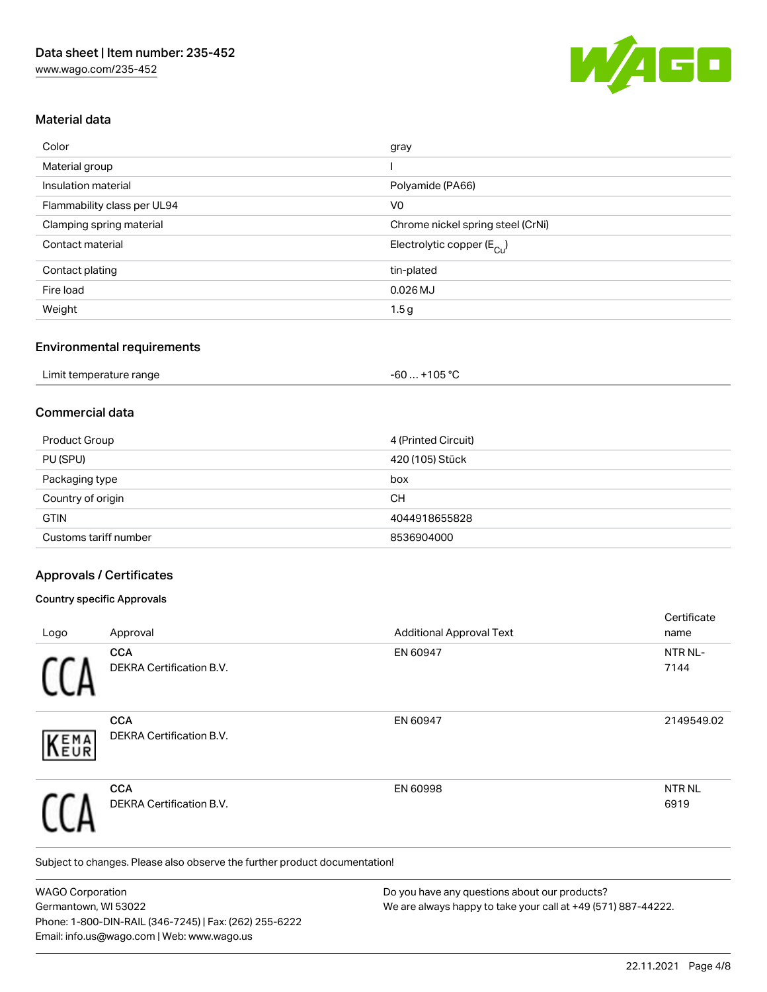

## Material data

| Color                       | gray                                  |
|-----------------------------|---------------------------------------|
| Material group              |                                       |
| Insulation material         | Polyamide (PA66)                      |
| Flammability class per UL94 | V <sub>0</sub>                        |
| Clamping spring material    | Chrome nickel spring steel (CrNi)     |
| Contact material            | Electrolytic copper $(E_{\text{Cu}})$ |
| Contact plating             | tin-plated                            |
| Fire load                   | $0.026$ MJ                            |
| Weight                      | 1.5g                                  |

#### Environmental requirements

| Limit temperature range | $-60+105 °C$ |  |
|-------------------------|--------------|--|
|-------------------------|--------------|--|

## Commercial data

| Product Group         | 4 (Printed Circuit) |
|-----------------------|---------------------|
| PU (SPU)              | 420 (105) Stück     |
| Packaging type        | box                 |
| Country of origin     | CН                  |
| <b>GTIN</b>           | 4044918655828       |
| Customs tariff number | 8536904000          |

## Approvals / Certificates

### Country specific Approvals

|            |                                        |                                 | Certificate               |
|------------|----------------------------------------|---------------------------------|---------------------------|
| Logo       | Approval                               | <b>Additional Approval Text</b> | name                      |
|            | <b>CCA</b><br>DEKRA Certification B.V. | EN 60947                        | NTR NL-<br>7144           |
| EMA<br>EUR | <b>CCA</b><br>DEKRA Certification B.V. | EN 60947                        | 2149549.02                |
|            | <b>CCA</b><br>DEKRA Certification B.V. | EN 60998                        | NTR <sub>NL</sub><br>6919 |

Subject to changes. Please also observe the further product documentation!

WAGO Corporation Germantown, WI 53022 Phone: 1-800-DIN-RAIL (346-7245) | Fax: (262) 255-6222 Email: info.us@wago.com | Web: www.wago.us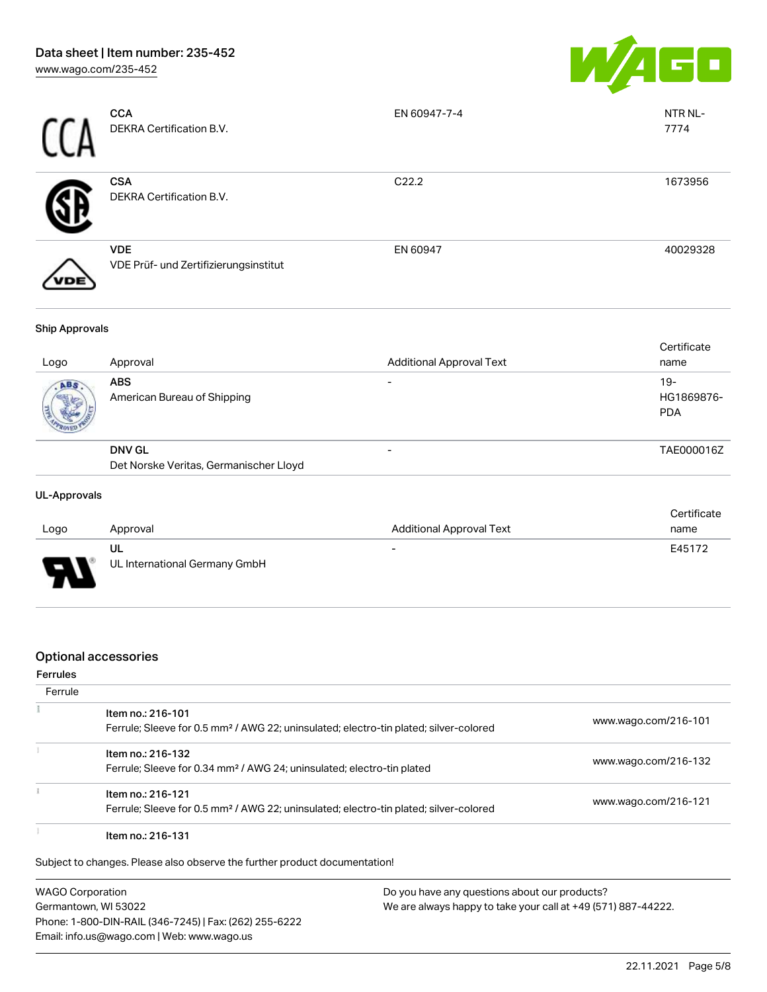

| <b>CCA</b><br>DEKRA Certification B.V.              | EN 60947-7-4      | NTR NL-<br>7774 |
|-----------------------------------------------------|-------------------|-----------------|
| <b>CSA</b><br>DEKRA Certification B.V.              | C <sub>22.2</sub> | 1673956         |
| <b>VDE</b><br>VDE Prüf- und Zertifizierungsinstitut | EN 60947          | 40029328        |

#### Ship Approvals

| Logo | Approval                                                | <b>Additional Approval Text</b> | Certificate<br>name               |
|------|---------------------------------------------------------|---------------------------------|-----------------------------------|
| ABS. | <b>ABS</b><br>American Bureau of Shipping               | $\overline{\phantom{0}}$        | $19-$<br>HG1869876-<br><b>PDA</b> |
|      | <b>DNV GL</b><br>Det Norske Veritas, Germanischer Lloyd |                                 | TAE000016Z                        |

### UL-Approvals

| Logo | Approval                            | <b>Additional Approval Text</b> | Certificate<br>name |
|------|-------------------------------------|---------------------------------|---------------------|
| J    | UL<br>UL International Germany GmbH | $\overline{\phantom{0}}$        | E45172              |

## Optional accessories

#### Ferrules

| Ferrule |                                                                                                                        |                      |
|---------|------------------------------------------------------------------------------------------------------------------------|----------------------|
|         | Item no.: 216-101<br>Ferrule; Sleeve for 0.5 mm <sup>2</sup> / AWG 22; uninsulated; electro-tin plated; silver-colored | www.wago.com/216-101 |
|         | Item no.: 216-132<br>Ferrule; Sleeve for 0.34 mm <sup>2</sup> / AWG 24; uninsulated; electro-tin plated                | www.wago.com/216-132 |
|         | Item no.: 216-121<br>Ferrule; Sleeve for 0.5 mm <sup>2</sup> / AWG 22; uninsulated; electro-tin plated; silver-colored | www.wago.com/216-121 |
|         | Item no.: 216-131                                                                                                      |                      |

Subject to changes. Please also observe the further product documentation!

WAGO Corporation Germantown, WI 53022 Phone: 1-800-DIN-RAIL (346-7245) | Fax: (262) 255-6222 Email: info.us@wago.com | Web: www.wago.us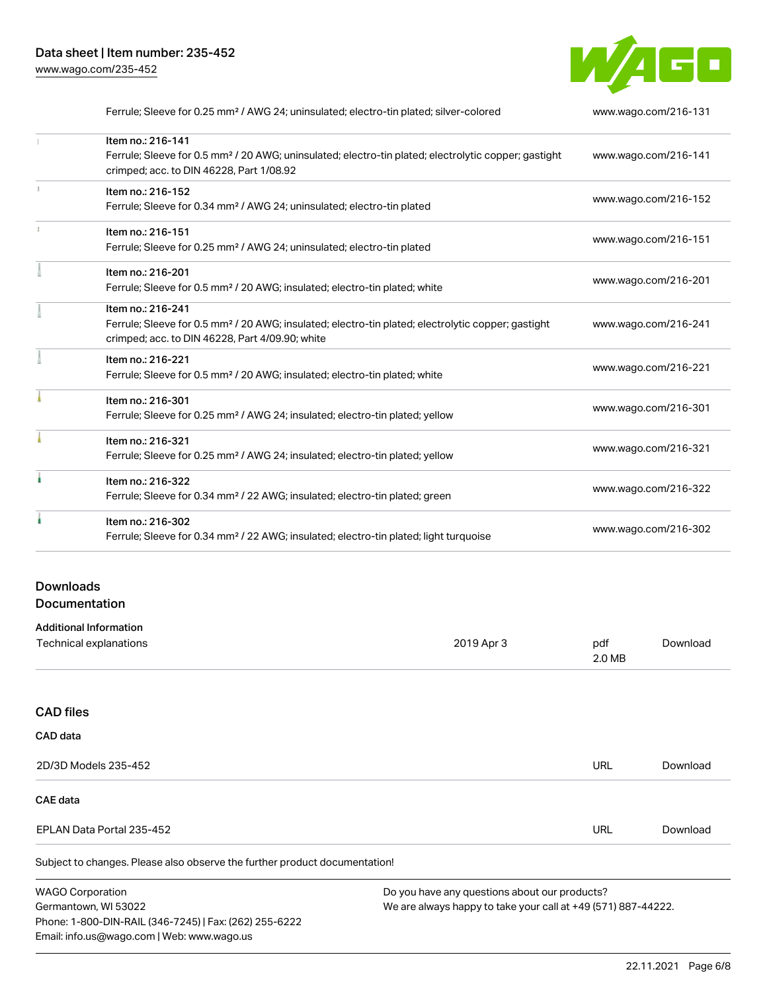

| Ferrule; Sleeve for 0.25 mm <sup>2</sup> / AWG 24; uninsulated; electro-tin plated; silver-colored               | www.wago.com/216-131 |
|------------------------------------------------------------------------------------------------------------------|----------------------|
| Item no.: 216-141                                                                                                |                      |
| Ferrule; Sleeve for 0.5 mm <sup>2</sup> / 20 AWG; uninsulated; electro-tin plated; electrolytic copper; gastight | www.wago.com/216-141 |
| crimped; acc. to DIN 46228, Part 1/08.92                                                                         |                      |
| Item no.: 216-152                                                                                                |                      |
| Ferrule; Sleeve for 0.34 mm <sup>2</sup> / AWG 24; uninsulated; electro-tin plated                               | www.wago.com/216-152 |
| Item no.: 216-151                                                                                                |                      |
| Ferrule; Sleeve for 0.25 mm <sup>2</sup> / AWG 24; uninsulated; electro-tin plated                               | www.wago.com/216-151 |
| Item no.: 216-201                                                                                                |                      |
| Ferrule; Sleeve for 0.5 mm <sup>2</sup> / 20 AWG; insulated; electro-tin plated; white                           | www.wago.com/216-201 |
| Item no.: 216-241                                                                                                |                      |
| Ferrule; Sleeve for 0.5 mm <sup>2</sup> / 20 AWG; insulated; electro-tin plated; electrolytic copper; gastight   | www.wago.com/216-241 |
| crimped; acc. to DIN 46228, Part 4/09.90; white                                                                  |                      |
| Item no.: 216-221                                                                                                |                      |
| Ferrule; Sleeve for 0.5 mm <sup>2</sup> / 20 AWG; insulated; electro-tin plated; white                           | www.wago.com/216-221 |
| Item no.: 216-301                                                                                                |                      |
| Ferrule; Sleeve for 0.25 mm <sup>2</sup> / AWG 24; insulated; electro-tin plated; yellow                         | www.wago.com/216-301 |
| Item no.: 216-321                                                                                                |                      |
| Ferrule; Sleeve for 0.25 mm <sup>2</sup> / AWG 24; insulated; electro-tin plated; yellow                         | www.wago.com/216-321 |
| Item no.: 216-322                                                                                                |                      |
| Ferrule; Sleeve for 0.34 mm <sup>2</sup> / 22 AWG; insulated; electro-tin plated; green                          | www.wago.com/216-322 |
| Item no.: 216-302                                                                                                |                      |
| Ferrule; Sleeve for 0.34 mm <sup>2</sup> / 22 AWG; insulated; electro-tin plated; light turquoise                | www.wago.com/216-302 |
|                                                                                                                  |                      |

# Downloads Documentation

Phone: 1-800-DIN-RAIL (346-7245) | Fax: (262) 255-6222

Email: info.us@wago.com | Web: www.wago.us

| <b>Additional Information</b>                                              |                                                               |            |          |
|----------------------------------------------------------------------------|---------------------------------------------------------------|------------|----------|
| Technical explanations                                                     | 2019 Apr 3                                                    | pdf        | Download |
|                                                                            |                                                               | 2.0 MB     |          |
|                                                                            |                                                               |            |          |
| <b>CAD files</b>                                                           |                                                               |            |          |
| CAD data                                                                   |                                                               |            |          |
| 2D/3D Models 235-452                                                       |                                                               | <b>URL</b> | Download |
| CAE data                                                                   |                                                               |            |          |
| EPLAN Data Portal 235-452                                                  |                                                               | <b>URL</b> | Download |
| Subject to changes. Please also observe the further product documentation! |                                                               |            |          |
| <b>WAGO Corporation</b>                                                    | Do you have any questions about our products?                 |            |          |
| Germantown, WI 53022                                                       | We are always happy to take your call at +49 (571) 887-44222. |            |          |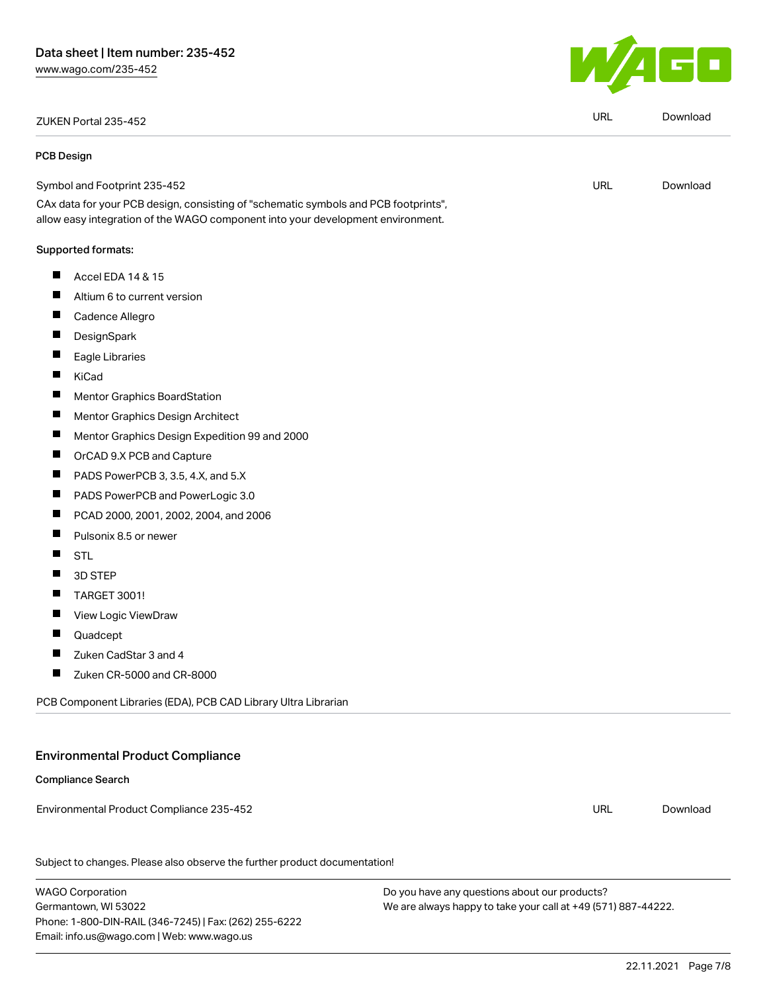ZUKEN Portal 235-452 URL [Download](https://www.wago.com/global/d/Zuken_URLS_235-452)

#### PCB Design

Symbol and Footprint 235-452

CAx data for your PCB design, consisting of "schematic symbols and PCB footprints", allow easy integration of the WAGO component into your development environment.

#### Supported formats:

- $\blacksquare$ Accel EDA 14 & 15
- $\blacksquare$ Altium 6 to current version
- $\blacksquare$ Cadence Allegro
- П **DesignSpark**
- П Eagle Libraries
- $\blacksquare$ KiCad
- $\blacksquare$ Mentor Graphics BoardStation
- $\blacksquare$ Mentor Graphics Design Architect
- $\blacksquare$ Mentor Graphics Design Expedition 99 and 2000
- $\blacksquare$ OrCAD 9.X PCB and Capture
- $\blacksquare$ PADS PowerPCB 3, 3.5, 4.X, and 5.X
- $\blacksquare$ PADS PowerPCB and PowerLogic 3.0
- $\blacksquare$ PCAD 2000, 2001, 2002, 2004, and 2006
- П Pulsonix 8.5 or newer
- П STL
- $\blacksquare$ 3D STEP
- $\blacksquare$ TARGET 3001!
- П View Logic ViewDraw
- П Quadcept
- $\blacksquare$ Zuken CadStar 3 and 4
- $\blacksquare$ Zuken CR-5000 and CR-8000

PCB Component Libraries (EDA), PCB CAD Library Ultra Librarian

# Environmental Product Compliance

## Compliance Search

Environmental Product Compliance 235-452

Subject to changes. Please also observe the further product documentation!

WAGO Corporation Germantown, WI 53022 Phone: 1-800-DIN-RAIL (346-7245) | Fax: (262) 255-6222 Email: info.us@wago.com | Web: www.wago.us

Do you have any questions about our products? We are always happy to take your call at +49 (571) 887-44222.



URL [Download](https://www.wago.com/global/d/UltraLibrarian_URLS_235-452)

URL [Download](https://www.wago.com/global/d/ComplianceLinkMediaContainer_235-452)